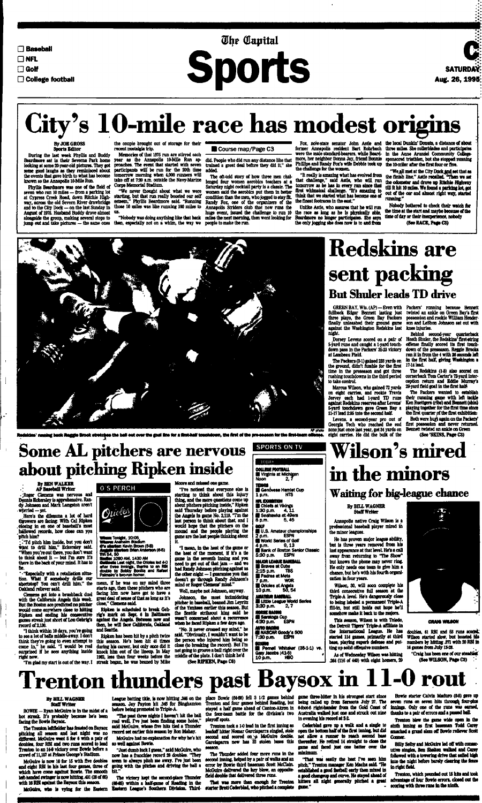**G Baseball**

**DNFL**

**DGolf**

# **The Capital Sports**

**D College football**



## City's 10-mile race has modest origins

#### **By JOE GROSS Sports Editor**

During the last week Phyllis and Buddy Beardmore sat in their Sevema Park home looking at some 20-year-old pictures. They got some good laughs as they reminisced about the events that gave birth to what has become known as the Annapolis 10-Mile Run.

the couple brought out of storage for their recent nostalgia trip.

> The oft-told story of how three men challenged four women aerobics teachers at a Saturday night cocktail party is a classic. The women said the aerobics put them in better condition than the men, who jogged to stay fit Randy Fox, one of the organizers of the Annapolis Striders club that now runs the huge event, issued the challenge to run 10

Memories of that 1975 run are stirred each year as the Annapolis 10-Mile Run approaches. The event that started with seven participants will be run for the 20th time tomorrow morning when 4,000 runners will take off at 7:30 am outside the Navy-Marine Corps Memorial Stadium.

"It really is amazing what has evolved from that challenge," said Astle, who will run tomorrow as he has in every run since that first whimsical challenge. "It's amazing to think that we started what has become one of the finest footraces in the east.'

Phyllis Beardmore was one of the field of seven who ran 10 miles — from a parking lot at Cypress Creek Road, down Ritchie Highway, across the old Severn River drawbridge and to the City Dock — on the last Sunday in August of 1975. Husband Buddy drove almost us. alongside the group, making several stops to Jump out and take pictures — the same ones then, especially not on a whim, the way we people to make the run.

"We never thought about what we were starting, but that run really boosted our self esteem," Phyllis Beardmore said. "Running those 10 miles was like running 100 miles to

did. People who did run any distance like that trained a great deal before they did it," she added.

"Nobody was doing anything like that back miles the next morning, then went looking for

### Course map/Page C3

Fox, now-state senator John Astle and former Annapolis resident Bart Rohrbach were the male standard-bearers, while Beard-in the Anne Arundel Community Collegemore, her neighbor Donna Jay, friend Bonnie sponsored triathlon, but she stopped running Phillips and Randy Fox's wife Debbie took up the challenge for the women.

Unlike Astle, who assures that be will run the race as long as he is physically able, Beardmore no longer participates. She says the only jogging she does now is to and from

> Both were hup again on the Packers' first possession and never returned. Bennett twisted an ankle on Green (See'SKINS, Page C3)

the local Dunkin' Donuts, a distance of about three miles. She rollerblades and participates the 10-miler after the first four or five.

"Wejdl met at the City Dock Jind set that as the finish line," Astie recalled. "Then we set the odometer and drove up Ritchie Highway till ft hit 10 miles. We found a parking lot, got out of the car and almost right way, started running."

Nobody bothered to check their watch for the time at the start and maybe because of the time of day or their inexperience, nobody (See RACE, Page C3)



ng back Raggie Brook stretches the ball out over the goal line for a first-half touchdown, the first of the pre-season for the first-team offense.

## **Redskins are sent packing But Shuler leads TD drive**

mean, if he was on my mind three starts ago, then these pitchers who are facing him now have got to have a great deal of sense of that as long as it's close," Clemens said.

**Some AL pitchers are nervous**

## **about pitching Ripken inside**

fullback Edgar Bennett lasting just twisted an ankle on Green Bay's first three plays, the Green Bay Packers possession and rookie William Henderfinally unleashed their ground game against the Washington Redskins last night.

(Dorsey Levens scored on a pair of 5-yard runs and caught a 1-yard touchdown pass in the Packers' 35-23 victory at Lambeau Field.

the ground, didn't fumble for the first time in the preseason and got three rushing touchdowns in the third period to take control

GREEN BAY. Wis. (AP) - Even with Packers' running because Bennett son and LeShon Johnson sat out with knee Injuries.

Marcus Wilson, who gained 72 yards on eight carries, and rookie Travis Jervey each had 1-yard TD runs against Redskins reserves after Levens' 6-yard touchdown gave Green Bay a 21-17 lead 235 into the second half.

#### $100AY$ **COHEBE FOOTBALL Virginia at Michigan**  $N$ oon  $2,7$ *atnm ,*

Levens, a second-year pro out of Georgia Tech who reached the end Tppho? zone just once last year, got 34 yards on eight carries. He did the bulk of the

The Packers (3-1) gained 233 yards on in the first half, giving Washington a Behind second-year quarterback Heath Shuler, the Redskins' first-strlng offense finally scored its first touchdown of the preseason, Reggie Brooks ran it in from the 4 with 26 seconds left 17-14 lead.

**MAJOR LEA8UE BAIBALL e Braves at Cubs<br>2:15 p.m. TBS** 

 $2:15$  p.m. • Padres at Mats  $7$  p.m. • Orioles at Angels

10 p.m. 50,54 1.0 p.m. 50, 54<br>AMAYBUR BAGERALL<br>BELIttle League World Series<br>3:30 p.m. 2.7

3:30 p.m. • Saratoga Cup 4:30 p.m. ESPN **MUTO BACING<br>BI NASCAR Goody's 500 7:30 PJIJ. ESPN soxine**<br>III Pemell Whitaker (35-1-1) vs.

By BILL WAGNER Staff Writer

Wilson, 30, will soon complete his third consecutive full season at the Triple-A level He's dangerously close to being labeled a permanent Triple-A fill-in, but still holds out hope he'll somehow make it back to the majors.

The Redskins (14) also scored on comerback Tom Carter's 72-yard interception return and Eddie Murray's 29-yard field goal in the first hatt

The Packers wanted to establish their running game with left tackle Ken Ruettgen (ribs) and Bennett (shin) playing together for the first time since the first quarter of the first exhibition;

doubles, 61 RBI and 53 runs scored, Wilson started alow, but boosted hils numbers by hitting *371* with 20 RBl In 16 games from July 13-28.

"Craig has been one of our steadiest (See WILSON, Page C3)

BOWIE — Ryan McGuire is in the midst of a hot streak. It's probably because he's been being die Bowie Baysox.



#### **By BEN WALKER APBatebaJI Writer**

• ;Roger Clemens was nervous and Dennis Eckersley is apprehensive. Randy Johnson and Mark Langston aren't •worried—yet

Here's the dilemma a lot of hard throwers are facing: With Cal Ripken .dosing in on one of baseball's most hallowed records, how close can you 'pitch him?

• :Td pitch him inside, but you don't want to drill him," Eckersley said. "When you're out there, you don't want to think about  $t - b$ ut I'm sure it's there in the back of your mind. It has to be.

McGuire, who is vying for the Eastern Eastern League's Southern Division. Third- starter Brett Cederblad, who pitched a complete The victory kept the second-place Thunder (6646) within a half-game of Reading in the

• • "Especially with a retaliation situation. What if somebody drills our shortstop? You can't drill him," the Oakland reliever said.

Clemens got into a brushback duel with the California Angels this week. But the Boston ace predicted no pitcher would come anywhere close to bitting Ripken and ending his consecutive games streak just short of Lou Gehrig's record of 2,130.

"I think within 10 days, you're going to see a lot of balls middle-away. I don't think they're going to even attempt to come in," he said. "I would be real surprised if he sees anything inside right now.

Cederblad gave up a walk and a single to open the bottom half of the first inning, but did not allow a runner to reach second base thereafter. He retired 14 straight to close the game and faced Just one batter over the **Ininimum** 

O S PERCH



**.**<br>• Tonight, 10:05<br>• Anaheim Stadium (5-8)<br>• **Infer**r Kavin Brown (5-8) **Aagulis starters Brian Anderson (6-5)<br>Wt 54, 50<br>Madie: 1090 AM, 1430 AM<br><b>Outlesia L**ast night, the Orioles led <u>4-0</u>

> Bowie starter Calvin Maduro (0-6) gave up seven runs on seven hits through four-plus mnings. Only one of the runs was earned, thanks to a pair of errors and a passed ball

after three Innings, thanks to an RBI double by Bobby QonfUa and Rafael Palmeiro's two-run homer.

Billy Selby and McGuire led off with consecutive singles, Ben Shetton walked and Cany followed with a towering drive that sailed high into the night before barely clearing the fence In right field.

"I'm glad my start is out of the way. I streak began, he was beaned by Mike Ripken has been hit by a pitch twice this season. He's been hit 45 times during his career, but only once did it knock him out of the lineup, In May 1962, less than four weeks before the

Ripken is scheduled to break Genrig's mark on Sept 6 in Baltimore against the Angels. Between now and then, he will face California, Oakland and Seattle.

Moore and missed one game.

"I've noticed that everyone else is starting to think about this injury thing, and the more questions come up about pitchers pitching Inside," Ripken said Thursday before playing against the Angels in game No. 2,119. 'Tm the last person to think about that, and I would hope that (he pitchers on the mound and the people playing the game are the last people thinking about it

*"I* mean, in the heat of the game or the heat of the moment, if it's a tie game in the seventh inning and you need to get out of that jam — and we had Randy Johnson pitching against us the other night - I guarantee you that doesn't go through Randy Johnson's mind or Roger Clemens' mind."

Well, maybe not Johnson, anyway.

Johnson, the most intimidating pitcher in baseball, beaned Jim Leyritz of the Yankees earlier this season. But the Seattle strikeout king said he wasn't concerned about a recurrence when he faced Ripken a few days ago.

"No. It never crossed my mind," be said. "Obviously, I wouldn't want to be the person who injured him being so close (to breaking the record). But I'm not going to groove a ball right over the middle of the plate. I don't think he'd

(See RIPKEN, Page C3)

\_ Genovese Hamlet Cup

**NFL EXHIBITION<br>III Chiefs at Vikings**  $1:30$  p.m. 4,  $11$ **•** Seahawks at 49ers<br>8 p.m. 6,45 8 p.m.

 $1 p.m.$ 

**aous**<br>III U.S. Amateur championships<br>2 p.m. ESPN  $2 p.m.$ World Series of Golf<br>4 p.m. 9.13  $4 p.m.$ **Bank of Boston Senior Classic**<br>5:30 p.m. ESPN  $5:30$  p.m.

**Wilson's mired**

**in the minors**

### **Waiting for big-league chance**

Annapolis native Craig Wilson is a professional baseball player mired in the minor leagues.

He has proven major league ability, but is three years removed from his last appearance at that level He's a call away from returning to "The Show'' but knows the phone may never ring. He only needs one team to give him a chance, but he's with his fourth organization in four years.

This season, Wilson is with Toledo, the Detroit Tigers' Triple-A affiliate in the International League. He has started 114 games, primarily at third bate, playing superb defense and putting up solid offensive numbers.

As of Wednesday Wibon was hitting .264 (116 of 440) with eight homers, 29



**CRAIG WILSON** 

## **Trenton thunders past Baysox in 11-0 rout**

#### **By BILL WAGNER Staff Writer**

The Trenton lettflebler has feasted on Baysox pitching all season and last night was no different McGuire went 5 for 6 with a pair of doubles, four RBI and two runs scored to lead Trenton to an 144 victory over Bowie before a crowd of 11,157 at Prince George's Stadium.

McGuire is now 10 for 15 with five doubles and eight RBI in his last four games, three of which have come against Bowie. The smooth left-handed swinger is now hitting .431 (28 of 65) with 16 RBI against the Baysox this season.

League batting title, is now hitting .346 on the season. Jay Payton hit .345 for Binghamton before being promoted to Triple-A.

"The past three nights I haven't hit the ball real well. I've just been finding some holes," said McGuire, whose five hits tied a Thunder record set earlier this season by Ron Mahay.

McGuire had no explanation for why he's hit so well against Bowie.

"Just dumb hick I guess," said McGuire, who now has a franchise record 28 doubles. "They seem to always pitch me away. I've just been going with the pitches and driving the ball a bit"

place Bowie (6448) fell 3 1/2 games behind Trenton and four games behind Reading, but the four-team battle for the division's two playoff spots.

Trenton took a 1-0 lead in the first inning as leadoff hitter Nomar Garciaparra singled, stole second and scored on a McGuire double. Garciaparra now has 33 stolen bases this season.

The Thunder added four more runs in the second inning, helped by a pair of walks and an error by Bowie third baseman Scott McClain. McGuire delivered the key blow, an oppositefield double that delivered three runs.

That was more than enough for Trenton

stayed a half game ahead of Canton-Akron in 6-foot-5 right-hander from the Gold Coast of game three-bitter in his strongest start since being called up from Sarasota July 27. The Australia walked Just one and struck out nine in evening his record at 2-2.

> "That wai easily the best Tve seen him pitch," Trenton manager Ken Macha said. "He established a good fastball early then mixed in a good changeup and curve. He stayed ahead of hitters all night generally pitched a gnat game."

Trenton blew the game wide open in the sixth inning as first baseman Todd Cany smacked a grand slam off Bowie reliever Scott Conner.

Trenton, which pounded out 15 hits and took advantage of tour Bowie errors, doted out die scoring with three runs in the ninth.

Gary Jacobs (41-5)<br>10 a.m. **1160** 10 p.m.